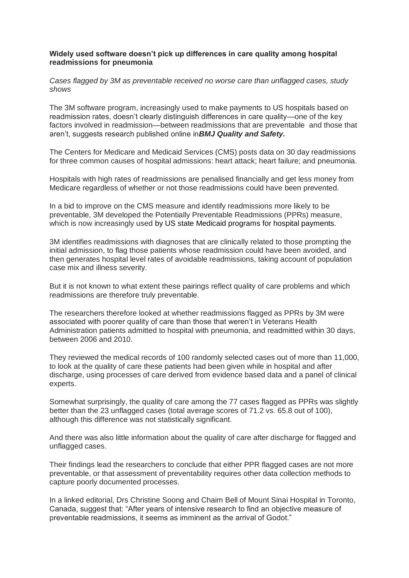## **Widely used software doesn't pick up differences in care quality among hospital readmissions for pneumonia**

*Cases flagged by 3M as preventable received no worse care than unflagged cases, study shows*

The 3M software program, increasingly used to make payments to US hospitals based on readmission rates, doesn't clearly distinguish differences in care quality—one of the key factors involved in readmission—between readmissions that are preventable and those that aren't, suggests research published online in*BMJ Quality and Safety.*

The Centers for Medicare and Medicaid Services (CMS) posts data on 30 day readmissions for three common causes of hospital admissions: heart attack; heart failure; and pneumonia.

Hospitals with high rates of readmissions are penalised financially and get less money from Medicare regardless of whether or not those readmissions could have been prevented.

In a bid to improve on the CMS measure and identify readmissions more likely to be preventable, 3M developed the Potentially Preventable Readmissions (PPRs) measure, which is now increasingly used by US state Medicaid programs for hospital payments.

3M identifies readmissions with diagnoses that are clinically related to those prompting the initial admission, to flag those patients whose readmission could have been avoided, and then generates hospital level rates of avoidable readmissions, taking account of population case mix and illness severity.

But it is not known to what extent these pairings reflect quality of care problems and which readmissions are therefore truly preventable.

The researchers therefore looked at whether readmissions flagged as PPRs by 3M were associated with poorer quality of care than those that weren't in Veterans Health Administration patients admitted to hospital with pneumonia, and readmitted within 30 days, between 2006 and 2010.

They reviewed the medical records of 100 randomly selected cases out of more than 11,000, to look at the quality of care these patients had been given while in hospital and after discharge, using processes of care derived from evidence based data and a panel of clinical experts.

Somewhat surprisingly, the quality of care among the 77 cases flagged as PPRs was slightly better than the 23 unflagged cases (total average scores of 71.2 vs. 65.8 out of 100), although this difference was not statistically significant.

And there was also little information about the quality of care after discharge for flagged and unflagged cases.

Their findings lead the researchers to conclude that either PPR flagged cases are not more preventable, or that assessment of preventability requires other data collection methods to capture poorly documented processes.

In a linked editorial, Drs Christine Soong and Chaim Bell of Mount Sinai Hospital in Toronto, Canada, suggest that: "After years of intensive research to find an objective measure of preventable readmissions, it seems as imminent as the arrival of Godot."